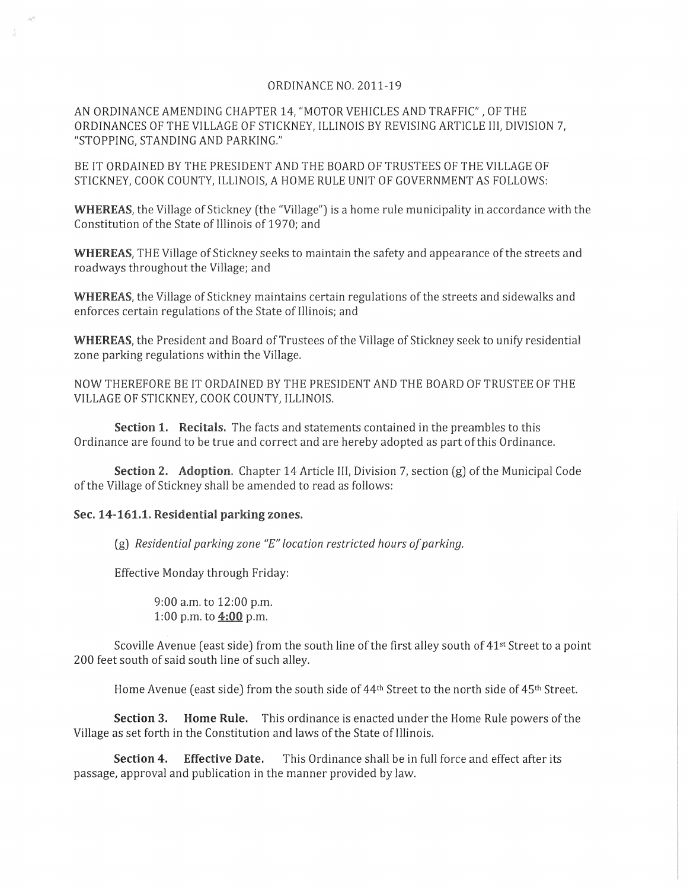## ORDINANCE NO. 2011-19

AN ORDINANCE AMENDING CHAPTER 14, "MOTOR VEHICLES AND TRAFFIC", OF THE ORDINANCES OF THE VILLAGE OF STICKNEY, ILLINOIS BY REVISING ARTICLE III, DIVISION 7, "STOPPING, STANDING AND PARKING."

BE IT ORDAINED BY THE PRESIDENT AND THE BOARD OF TRUSTEES OF THE VILLAGE OF STICKNEY, COOK COUNTY, ILLINOIS, A HOME RULE UNIT OF GOVERNMENT AS FOLLOWS:

**WHEREAS**, the Village of Stickney (the "Village") is a home rule municipality in accordance with the Constitution of the State of Illinois of 1970; and

**WHEREAS,** THE Village of Stickney seeks to maintain the safety and appearance of the streets and roadways throughout the Village; and

**WHEREAS,** the Village of Stickney maintains certain regulations of the streets and sidewalks and enforces certain regulations of the State of Illinois; and

**WHEREAS,** the President and Board of Trustees of the Village of Stickney seek to unify residential zone parking regulations within the Village.

NOW THEREFORE BE IT ORDAINED BY THE PRESIDENT AND THE BOARD OF TRUSTEE OF THE VILLAGE OF STICKNEY, COOK COUNTY, ILLINOIS.

**Section 1. Recitals.** The facts and statements contained in the preambles to this Ordinance are found to be true and correct and are hereby adopted as part of this Ordinance.

**Section 2. Adoption.** Chapter 14 Article III, Division 7, section (g) of the Municipal Code of the Village of Stickney shall be amended to read as follows:

## **Sec. 14-161.1. Residential parking zones.**

(g) *Residential parking zone "E" location restricted hours a/parking.* 

Effective Monday through Friday:

9:00 a.m. to 12:00 p.m. 1:00 p.m. to **4:00** p.m.

Scoville Avenue (east side) from the south line of the first alley south of 41<sup>st</sup> Street to a point 200 feet south of said south line of such alley.

Home Avenue (east side) from the south side of 44<sup>th</sup> Street to the north side of 45<sup>th</sup> Street.

**Section 3. Home Rule.** This ordinance is enacted under the Horne Rule powers of the Village as set forth in the Constitution and laws of the State of Illinois.

**Section 4. Effective Date.** This Ordinance shall be in full force and effect after its passage, approval and publication in the manner provided by law.